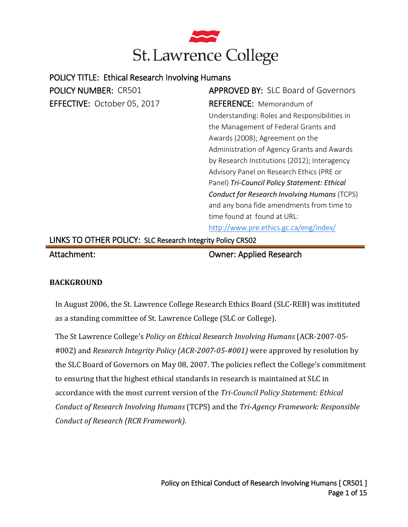

| <b>POLICY NUMBER: CR501</b>                                | <b>APPROVED BY: SLC Board of Governors</b>          |
|------------------------------------------------------------|-----------------------------------------------------|
| EFFECTIVE: October 05, 2017                                | <b>REFERENCE:</b> Memorandum of                     |
|                                                            | Understanding: Roles and Responsibilities in        |
|                                                            | the Management of Federal Grants and                |
|                                                            | Awards (2008); Agreement on the                     |
|                                                            | Administration of Agency Grants and Awards          |
|                                                            | by Research Institutions (2012); Interagency        |
|                                                            | Advisory Panel on Research Ethics (PRE or           |
|                                                            | Panel) Tri-Council Policy Statement: Ethical        |
|                                                            | <b>Conduct for Research Involving Humans (TCPS)</b> |
|                                                            | and any bona fide amendments from time to           |
|                                                            | time found at found at URL:                         |
|                                                            | http://www.pre.ethics.gc.ca/eng/index/              |
| LINKS TO OTHER POLICY: SLC Research Integrity Policy CR502 |                                                     |

### **BACKGROUND**

In August 2006, the St. Lawrence College Research Ethics Board (SLC-REB) was instituted as a standing committee of St. Lawrence College (SLC or College).

The St Lawrence College's *Policy on Ethical Research Involving Humans* (ACR-2007-05- #002) and *Research Integrity Policy (ACR-2007-05-#001)* were approved by resolution by the SLC Board of Governors on May 08, 2007. The policies reflect the College's commitment to ensuring that the highest ethical standards in research is maintained at SLC in accordance with the most current version of the *Tri-Council Policy Statement: Ethical Conduct of Research Involving Humans* (TCPS) and the *Tri-Agency Framework: Responsible Conduct of Research (RCR Framework)*.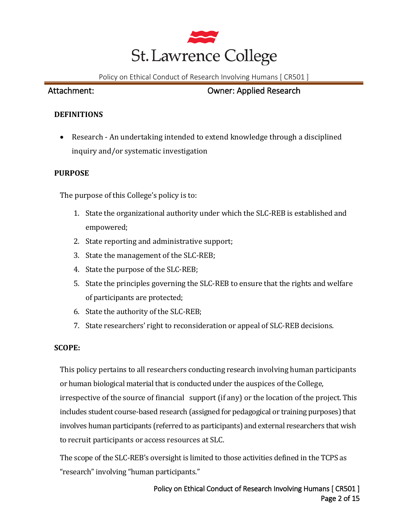

## **DEFINITIONS**

• Research - An undertaking intended to extend knowledge through a disciplined inquiry and/or systematic investigation

## **PURPOSE**

The purpose of this College's policy is to:

- 1. State the organizational authority under which the SLC-REB is established and empowered;
- 2. State reporting and administrative support;
- 3. State the management of the SLC-REB;
- 4. State the purpose of the SLC-REB;
- 5. State the principles governing the SLC-REB to ensure that the rights and welfare of participants are protected;
- 6. State the authority of the SLC-REB;
- 7. State researchers' right to reconsideration or appeal of SLC-REB decisions.

### **SCOPE:**

This policy pertains to all researchers conducting research involving human participants or human biological material that is conducted under the auspices of the College, irrespective of the source of financial support (if any) or the location of the project. This includes student course-based research (assigned for pedagogical or training purposes) that involves human participants (referred to as participants) and external researchers that wish to recruit participants or access resources at SLC.

The scope of the SLC-REB's oversight is limited to those activities defined in the TCPS as "research" involving "human participants."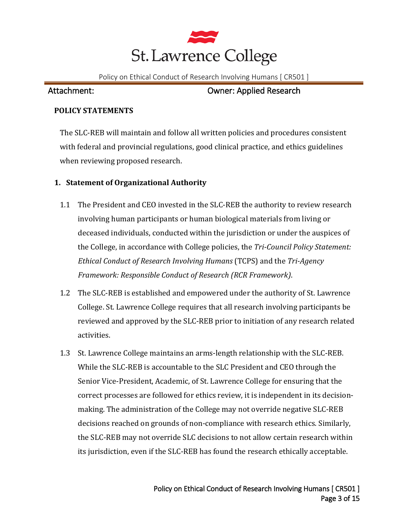

### **POLICY STATEMENTS**

The SLC-REB will maintain and follow all written policies and procedures consistent with federal and provincial regulations, good clinical practice, and ethics guidelines when reviewing proposed research.

## **1. Statement of Organizational Authority**

- 1.1 The President and CEO invested in the SLC-REB the authority to review research involving human participants or human biological materials from living or deceased individuals, conducted within the jurisdiction or under the auspices of the College, in accordance with College policies, the *Tri-Council Policy Statement: Ethical Conduct of Research Involving Humans* (TCPS) and the *Tri-Agency Framework: Responsible Conduct of Research (RCR Framework)*.
- 1.2 The SLC-REB is established and empowered under the authority of St. Lawrence College. St. Lawrence College requires that all research involving participants be reviewed and approved by the SLC-REB prior to initiation of any research related activities.
- 1.3 St. Lawrence College maintains an arms-length relationship with the SLC-REB. While the SLC-REB is accountable to the SLC President and CEO through the Senior Vice-President, Academic, of St. Lawrence College for ensuring that the correct processes are followed for ethics review, it is independent in its decisionmaking. The administration of the College may not override negative SLC-REB decisions reached on grounds of non-compliance with research ethics. Similarly, the SLC-REB may not override SLC decisions to not allow certain research within its jurisdiction, even if the SLC-REB has found the research ethically acceptable.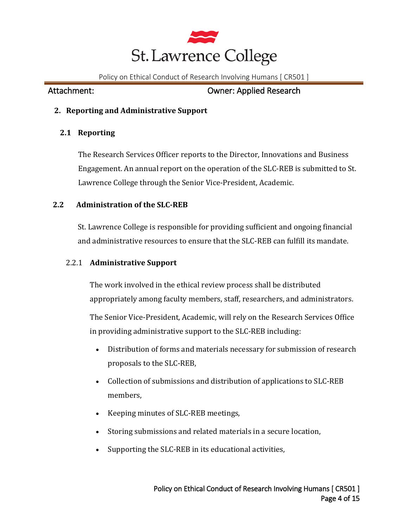

Attachment: Owner: Applied Research

## **2. Reporting and Administrative Support**

## **2.1 Reporting**

The Research Services Officer reports to the Director, Innovations and Business Engagement. An annual report on the operation of the SLC-REB is submitted to St. Lawrence College through the Senior Vice-President, Academic.

## **2.2 Administration of the SLC-REB**

St. Lawrence College is responsible for providing sufficient and ongoing financial and administrative resources to ensure that the SLC-REB can fulfill its mandate.

## 2.2.1 **Administrative Support**

The work involved in the ethical review process shall be distributed appropriately among faculty members, staff, researchers, and administrators.

The Senior Vice-President, Academic, will rely on the Research Services Office in providing administrative support to the SLC-REB including:

- Distribution of forms and materials necessary for submission of research proposals to the SLC-REB,
- Collection of submissions and distribution of applications to SLC-REB members,
- Keeping minutes of SLC-REB meetings,
- Storing submissions and related materials in a secure location,
- Supporting the SLC-REB in its educational activities,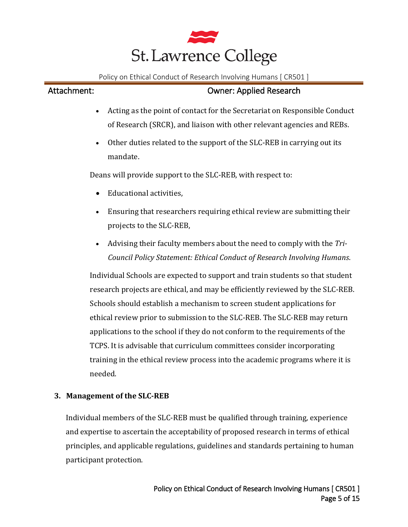

## Attachment: Owner: Applied Research

- Acting as the point of contact for the Secretariat on Responsible Conduct of Research (SRCR), and liaison with other relevant agencies and REBs.
- Other duties related to the support of the SLC-REB in carrying out its mandate.

Deans will provide support to the SLC-REB, with respect to:

- Educational activities,
- Ensuring that researchers requiring ethical review are submitting their projects to the SLC-REB,
- Advising their faculty members about the need to comply with the *Tri-Council Policy Statement: Ethical Conduct of Research Involving Humans*.

Individual Schools are expected to support and train students so that student research projects are ethical, and may be efficiently reviewed by the SLC-REB. Schools should establish a mechanism to screen student applications for ethical review prior to submission to the SLC-REB. The SLC-REB may return applications to the school if they do not conform to the requirements of the TCPS. It is advisable that curriculum committees consider incorporating training in the ethical review process into the academic programs where it is needed.

## **3. Management of the SLC-REB**

Individual members of the SLC-REB must be qualified through training, experience and expertise to ascertain the acceptability of proposed research in terms of ethical principles, and applicable regulations, guidelines and standards pertaining to human participant protection.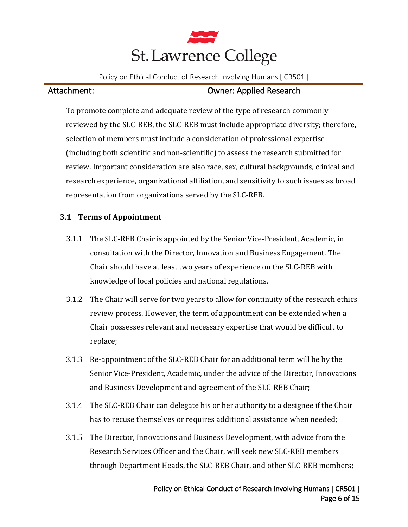

To promote complete and adequate review of the type of research commonly reviewed by the SLC-REB, the SLC-REB must include appropriate diversity; therefore, selection of members must include a consideration of professional expertise (including both scientific and non-scientific) to assess the research submitted for review. Important consideration are also race, sex, cultural backgrounds, clinical and research experience, organizational affiliation, and sensitivity to such issues as broad representation from organizations served by the SLC-REB.

# **3.1 Terms of Appointment**

- 3.1.1 The SLC-REB Chair is appointed by the Senior Vice-President, Academic, in consultation with the Director, Innovation and Business Engagement. The Chair should have at least two years of experience on the SLC-REB with knowledge of local policies and national regulations.
- 3.1.2 The Chair will serve for two years to allow for continuity of the research ethics review process. However, the term of appointment can be extended when a Chair possesses relevant and necessary expertise that would be difficult to replace;
- 3.1.3 Re-appointment of the SLC-REB Chair for an additional term will be by the Senior Vice-President, Academic, under the advice of the Director, Innovations and Business Development and agreement of the SLC-REB Chair;
- 3.1.4 The SLC-REB Chair can delegate his or her authority to a designee if the Chair has to recuse themselves or requires additional assistance when needed;
- 3.1.5 The Director, Innovations and Business Development, with advice from the Research Services Officer and the Chair, will seek new SLC-REB members through Department Heads, the SLC-REB Chair, and other SLC-REB members;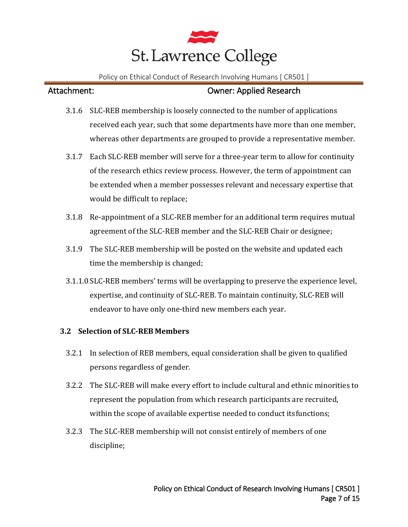

- 3.1.6 SLC-REB membership is loosely connected to the number of applications received each year, such that some departments have more than one member, whereas other departments are grouped to provide a representative member.
- 3.1.7 Each SLC-REB member will serve for a three-year term to allow for continuity of the research ethics review process. However, the term of appointment can be extended when a member possesses relevant and necessary expertise that would be difficult to replace;
- 3.1.8 Re-appointment of a SLC-REB member for an additional term requires mutual agreement of the SLC-REB member and the SLC-REB Chair or designee;
- 3.1.9 The SLC-REB membership will be posted on the website and updated each time the membership is changed;
- 3.1.1.0 SLC-REB members' terms will be overlapping to preserve the experience level, expertise, and continuity of SLC-REB. To maintain continuity, SLC-REB will endeavor to have only one-third new members each year.

### **3.2 Selection of SLC-REB Members**

- 3.2.1 In selection of REB members, equal consideration shall be given to qualified persons regardless of gender.
- 3.2.2 The SLC-REB will make every effort to include cultural and ethnic minorities to represent the population from which research participants are recruited, within the scope of available expertise needed to conduct itsfunctions;
- 3.2.3 The SLC-REB membership will not consist entirely of members of one discipline;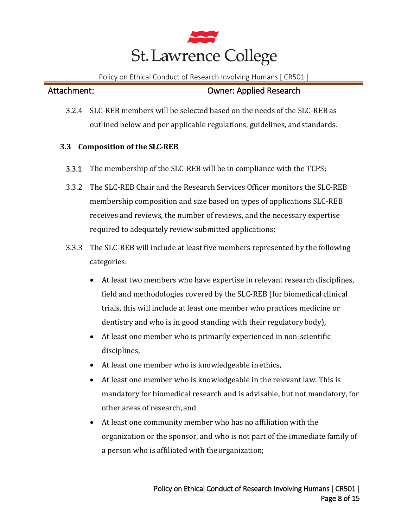

3.2.4 SLC-REB members will be selected based on the needs of the SLC-REB as outlined below and per applicable regulations, guidelines, andstandards.

### **3.3 Composition of the SLC-REB**

- 3.3.1 The membership of the SLC-REB will be in compliance with the TCPS;
- 3.3.2 The SLC-REB Chair and the Research Services Officer monitors the SLC-REB membership composition and size based on types of applications SLC-REB receives and reviews, the number of reviews, and the necessary expertise required to adequately review submitted applications;
- 3.3.3 The SLC-REB will include at least five members represented by the following categories:
	- At least two members who have expertise in relevant research disciplines, field and methodologies covered by the SLC-REB (for biomedical clinical trials, this will include at least one member who practices medicine or dentistry and who is in good standing with their regulatorybody),
	- At least one member who is primarily experienced in non-scientific disciplines,
	- At least one member who is knowledgeable in ethics,
	- At least one member who is knowledgeable in the relevant law. This is mandatory for biomedical research and is advisable, but not mandatory, for other areas of research, and
	- At least one community member who has no affiliation with the organization or the sponsor, and who is not part of the immediate family of a person who is affiliated with the organization;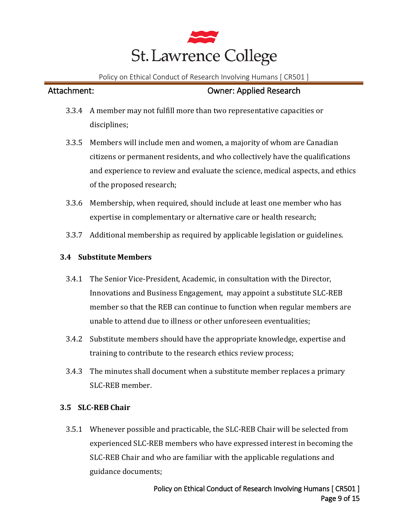

- 3.3.4 A member may not fulfill more than two representative capacities or disciplines;
- 3.3.5 Members will include men and women, a majority of whom are Canadian citizens or permanent residents, and who collectively have the qualifications and experience to review and evaluate the science, medical aspects, and ethics of the proposed research;
- 3.3.6 Membership, when required, should include at least one member who has expertise in complementary or alternative care or health research;
- 3.3.7 Additional membership as required by applicable legislation or guidelines.

### **3.4 Substitute Members**

- 3.4.1 The Senior Vice-President, Academic, in consultation with the Director, Innovations and Business Engagement, may appoint a substitute SLC-REB member so that the REB can continue to function when regular members are unable to attend due to illness or other unforeseen eventualities;
- 3.4.2 Substitute members should have the appropriate knowledge, expertise and training to contribute to the research ethics review process;
- 3.4.3 The minutes shall document when a substitute member replaces a primary SLC-REB member.

### **3.5 SLC-REB Chair**

3.5.1 Whenever possible and practicable, the SLC-REB Chair will be selected from experienced SLC-REB members who have expressed interest in becoming the SLC-REB Chair and who are familiar with the applicable regulations and guidance documents;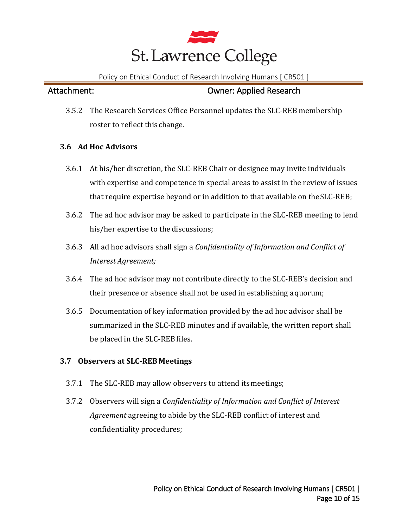

3.5.2 The Research Services Office Personnel updates the SLC-REB membership roster to reflect this change.

## **3.6 Ad Hoc Advisors**

- 3.6.1 At his/her discretion, the SLC-REB Chair or designee may invite individuals with expertise and competence in special areas to assist in the review of issues that require expertise beyond or in addition to that available on theSLC-REB;
- 3.6.2 The ad hoc advisor may be asked to participate in the SLC-REB meeting to lend his/her expertise to the discussions;
- 3.6.3 All ad hoc advisors shall sign a *Confidentiality of Information and Conflict of Interest Agreement;*
- 3.6.4 The ad hoc advisor may not contribute directly to the SLC-REB's decision and their presence or absence shall not be used in establishing aquorum;
- 3.6.5 Documentation of key information provided by the ad hoc advisor shall be summarized in the SLC-REB minutes and if available, the written report shall be placed in the SLC-REB files.

## **3.7 Observers at SLC-REB Meetings**

- 3.7.1 The SLC-REB may allow observers to attend itsmeetings;
- 3.7.2 Observers will sign a *Confidentiality of Information and Conflict of Interest Agreement* agreeing to abide by the SLC-REB conflict of interest and confidentiality procedures;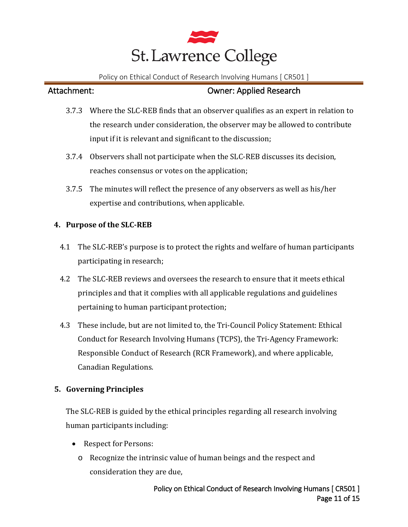

## Attachment: Owner: Applied Research

- 3.7.3 Where the SLC-REB finds that an observer qualifies as an expert in relation to the research under consideration, the observer may be allowed to contribute input if it is relevant and significant to the discussion;
- 3.7.4 Observers shall not participate when the SLC-REB discusses its decision, reaches consensus or votes on the application;
- 3.7.5 The minutes will reflect the presence of any observers as well as his/her expertise and contributions, when applicable.

### **4. Purpose of the SLC-REB**

- 4.1 The SLC-REB's purpose is to protect the rights and welfare of human participants participating in research;
- 4.2 The SLC-REB reviews and oversees the research to ensure that it meets ethical principles and that it complies with all applicable regulations and guidelines pertaining to human participant protection;
- 4.3 These include, but are not limited to, the Tri-Council Policy Statement: Ethical Conduct for Research Involving Humans (TCPS), the Tri-Agency Framework: Responsible Conduct of Research (RCR Framework), and where applicable, Canadian Regulations.

### **5. Governing Principles**

The SLC-REB is guided by the ethical principles regarding all research involving human participants including:

- Respect for Persons:
	- o Recognize the intrinsic value of human beings and the respect and consideration they are due,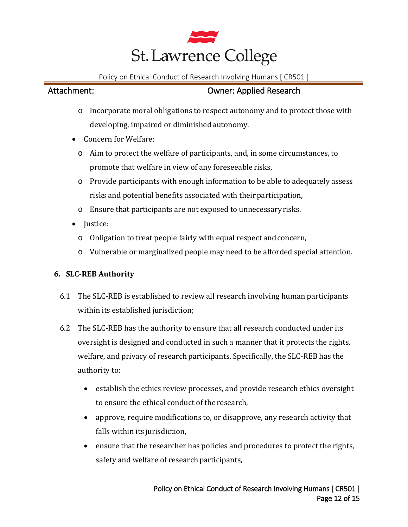

# Attachment: Owner: Applied Research

- o Incorporate moral obligations to respect autonomy and to protect those with developing, impaired or diminished autonomy.
- Concern for Welfare:
	- o Aim to protect the welfare of participants, and, in some circumstances, to promote that welfare in view of any foreseeable risks,
	- o Provide participants with enough information to be able to adequately assess risks and potential benefits associated with their participation,
	- o Ensure that participants are not exposed to unnecessaryrisks.
- Justice:
	- o Obligation to treat people fairly with equal respect andconcern,
	- o Vulnerable or marginalized people may need to be afforded special attention.

# **6. SLC-REB Authority**

- 6.1 The SLC-REB is established to review all research involving human participants within its established jurisdiction;
- 6.2 The SLC-REB has the authority to ensure that all research conducted under its oversight is designed and conducted in such a manner that it protects the rights, welfare, and privacy of research participants. Specifically, the SLC-REB has the authority to:
	- establish the ethics review processes, and provide research ethics oversight to ensure the ethical conduct of the research,
	- approve, require modifications to, or disapprove, any research activity that falls within its jurisdiction,
	- ensure that the researcher has policies and procedures to protect the rights, safety and welfare of research participants,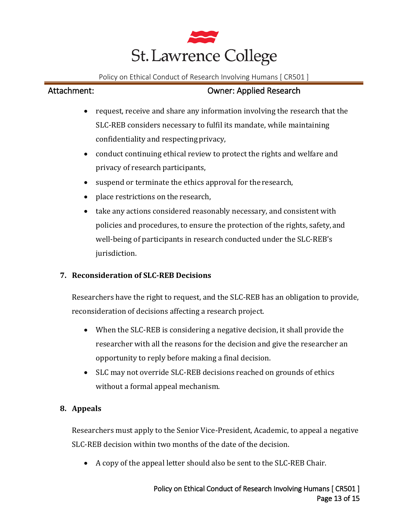

- request, receive and share any information involving the research that the SLC-REB considers necessary to fulfil its mandate, while maintaining confidentiality and respectingprivacy,
- conduct continuing ethical review to protect the rights and welfare and privacy of research participants,
- suspend or terminate the ethics approval for the research,
- place restrictions on the research,
- take any actions considered reasonably necessary, and consistent with policies and procedures, to ensure the protection of the rights, safety,and well-being of participants in research conducted under the SLC-REB's jurisdiction.

# **7. Reconsideration of SLC-REB Decisions**

Researchers have the right to request, and the SLC-REB has an obligation to provide, reconsideration of decisions affecting a research project.

- When the SLC-REB is considering a negative decision, it shall provide the researcher with all the reasons for the decision and give the researcher an opportunity to reply before making a final decision.
- SLC may not override SLC-REB decisions reached on grounds of ethics without a formal appeal mechanism.

## **8. Appeals**

Researchers must apply to the Senior Vice-President, Academic, to appeal a negative SLC-REB decision within two months of the date of the decision.

• A copy of the appeal letter should also be sent to the SLC-REB Chair.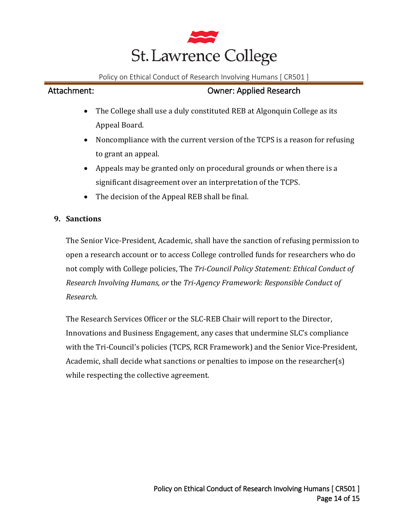

# Attachment: Owner: Applied Research

- The College shall use a duly constituted REB at Algonquin College as its Appeal Board.
- Noncompliance with the current version of the TCPS is a reason for refusing to grant an appeal.
- Appeals may be granted only on procedural grounds or when there is a significant disagreement over an interpretation of the TCPS.
- The decision of the Appeal REB shall be final.

## **9. Sanctions**

The Senior Vice-President, Academic, shall have the sanction of refusing permission to open a research account or to access College controlled funds for researchers who do not comply with College policies, The *Tri-Council Policy Statement: Ethical Conduct of Research Involving Humans, or* the *Tri-Agency Framework: Responsible Conduct of Research.*

The Research Services Officer or the SLC-REB Chair will report to the Director, Innovations and Business Engagement, any cases that undermine SLC's compliance with the Tri-Council's policies (TCPS, RCR Framework) and the Senior Vice-President, Academic, shall decide what sanctions or penalties to impose on the researcher(s) while respecting the collective agreement.